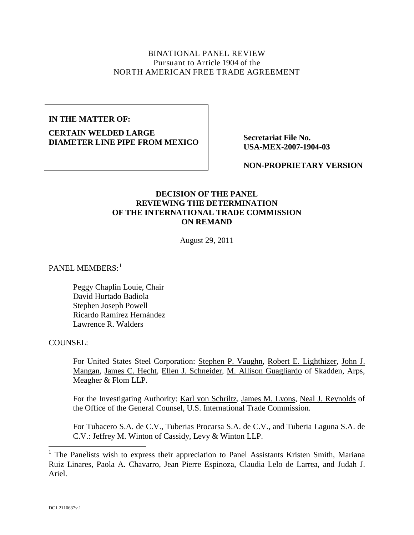## BINATIONAL PANEL REVIEW Pursuant to Article 1904 of the NORTH AMERICAN FREE TRADE AGREEMENT

### **IN THE MATTER OF:**

**CERTAIN WELDED LARGE DIAMETER LINE PIPE FROM MEXICO** Secretariat File No.

**USA-MEX-2007-1904-03**

**NON-PROPRIETARY VERSION**

## **DECISION OF THE PANEL REVIEWING THE DETERMINATION OF THE INTERNATIONAL TRADE COMMISSION ON REMAND**

August 29, 2011

PANEL MEMBERS:<sup>[1](#page-0-0)</sup>

Peggy Chaplin Louie, Chair David Hurtado Badiola Stephen Joseph Powell Ricardo Ramírez Hernández Lawrence R. Walders

#### COUNSEL:

For United States Steel Corporation: Stephen P. Vaughn, Robert E. Lighthizer, John J. Mangan, James C. Hecht, Ellen J. Schneider, M. Allison Guagliardo of Skadden, Arps, Meagher & Flom LLP.

For the Investigating Authority: Karl von Schriltz, James M. Lyons, Neal J. Reynolds of the Office of the General Counsel, U.S. International Trade Commission.

For Tubacero S.A. de C.V., Tuberias Procarsa S.A. de C.V., and Tuberia Laguna S.A. de C.V.: **Jeffrey M. Winton** of Cassidy, Levy & Winton LLP.

<span id="page-0-0"></span><sup>&</sup>lt;sup>1</sup> The Panelists wish to express their appreciation to Panel Assistants Kristen Smith, Mariana Ruiz Linares, Paola A. Chavarro, Jean Pierre Espinoza, Claudia Lelo de Larrea, and Judah J. Ariel.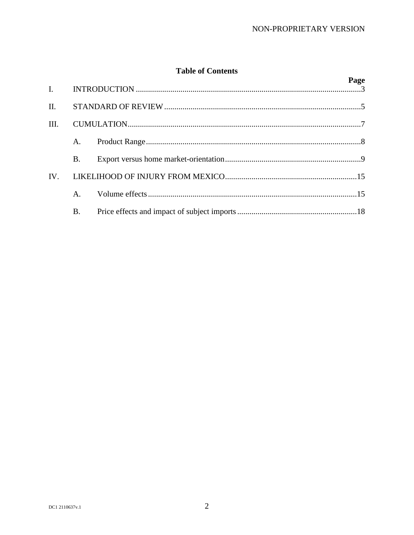# **Table of Contents**

|      |           |  | Page |
|------|-----------|--|------|
| II.  |           |  |      |
| III. |           |  |      |
|      | A.        |  |      |
|      | Β.        |  |      |
| IV.  |           |  |      |
|      | А.        |  |      |
|      | <b>B.</b> |  |      |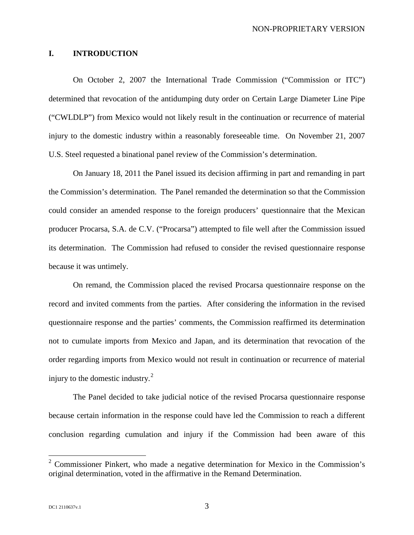### <span id="page-2-0"></span>**I. INTRODUCTION**

On October 2, 2007 the International Trade Commission ("Commission or ITC") determined that revocation of the antidumping duty order on Certain Large Diameter Line Pipe ("CWLDLP") from Mexico would not likely result in the continuation or recurrence of material injury to the domestic industry within a reasonably foreseeable time. On November 21, 2007 U.S. Steel requested a binational panel review of the Commission's determination.

On January 18, 2011 the Panel issued its decision affirming in part and remanding in part the Commission's determination. The Panel remanded the determination so that the Commission could consider an amended response to the foreign producers' questionnaire that the Mexican producer Procarsa, S.A. de C.V. ("Procarsa") attempted to file well after the Commission issued its determination. The Commission had refused to consider the revised questionnaire response because it was untimely.

On remand, the Commission placed the revised Procarsa questionnaire response on the record and invited comments from the parties. After considering the information in the revised questionnaire response and the parties' comments, the Commission reaffirmed its determination not to cumulate imports from Mexico and Japan, and its determination that revocation of the order regarding imports from Mexico would not result in continuation or recurrence of material injury to the domestic industry. $2$ 

The Panel decided to take judicial notice of the revised Procarsa questionnaire response because certain information in the response could have led the Commission to reach a different conclusion regarding cumulation and injury if the Commission had been aware of this

<span id="page-2-1"></span><sup>&</sup>lt;sup>2</sup> Commissioner Pinkert, who made a negative determination for Mexico in the Commission's original determination, voted in the affirmative in the Remand Determination.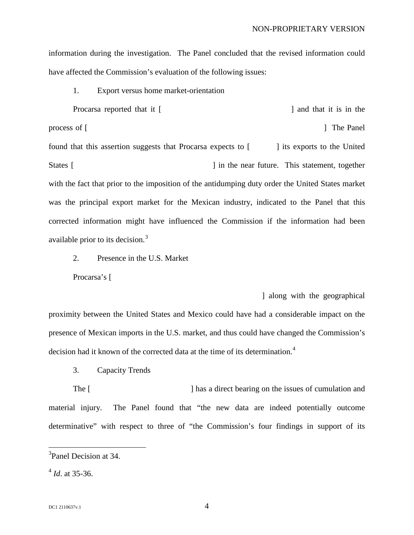information during the investigation. The Panel concluded that the revised information could have affected the Commission's evaluation of the following issues:

1. Export versus home market-orientation Procarsa reported that it [had established a new production line] and that it is in the process of [qualifying its CWLDLP process of [qualifying its CWLDLP process of [qualifying its CMLDLP process of  $\sim$  1.5 customers.] The Panel found that this assertion suggests that Procarsa expects to  $\lceil \cdot \cdot \cdot \rceil$  its exports to the United States [once its CNLD production] in the near future. This statement, together with the fact that prior to the imposition of the antidumping duty order the United States market was the principal export market for the Mexican industry, indicated to the Panel that this corrected information might have influenced the Commission if the information had been available prior to its decision.<sup>[3](#page-3-0)</sup>

2. Presence in the U.S. Market

Procarsa's [

determined its new production in the geographical line with the geographical

proximity between the United States and Mexico could have had a considerable impact on the presence of Mexican imports in the U.S. market, and thus could have changed the Commission's decision had it known of the corrected data at the time of its determination.<sup>[4](#page-3-1)</sup>

3. Capacity Trends

The [increase in Process in Process in Process in Process in Process in Process in Process in Process in Process in Process in Process in Process in Process in Process in Process in Process in Process in Process in Process material injury. The Panel found that "the new data are indeed potentially outcome determinative" with respect to three of "the Commission's four findings in support of its

<span id="page-3-0"></span> <sup>3</sup> Panel Decision at 34.

<span id="page-3-1"></span> $^{4}$  *Id.* at 35-36.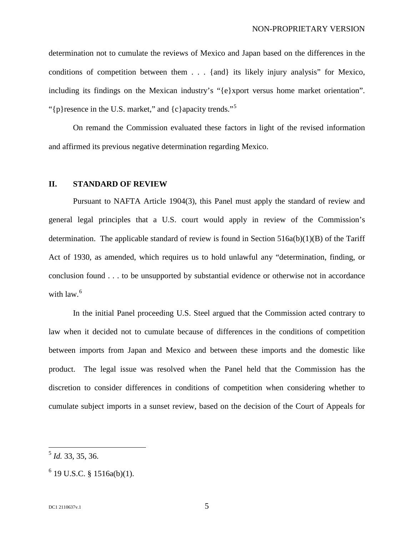determination not to cumulate the reviews of Mexico and Japan based on the differences in the conditions of competition between them . . . {and} its likely injury analysis" for Mexico, including its findings on the Mexican industry's "{e}xport versus home market orientation". "{p}resence in the U.S. market," and  ${c}$ } apacity trends."<sup>[5](#page-4-1)</sup>

On remand the Commission evaluated these factors in light of the revised information and affirmed its previous negative determination regarding Mexico.

#### <span id="page-4-0"></span>**II. STANDARD OF REVIEW**

Pursuant to NAFTA Article 1904(3), this Panel must apply the standard of review and general legal principles that a U.S. court would apply in review of the Commission's determination. The applicable standard of review is found in Section 516a(b)(1)(B) of the Tariff Act of 1930, as amended, which requires us to hold unlawful any "determination, finding, or conclusion found . . . to be unsupported by substantial evidence or otherwise not in accordance with law.<sup>[6](#page-4-2)</sup>

In the initial Panel proceeding U.S. Steel argued that the Commission acted contrary to law when it decided not to cumulate because of differences in the conditions of competition between imports from Japan and Mexico and between these imports and the domestic like product. The legal issue was resolved when the Panel held that the Commission has the discretion to consider differences in conditions of competition when considering whether to cumulate subject imports in a sunset review, based on the decision of the Court of Appeals for

<span id="page-4-1"></span> <sup>5</sup> *Id.* 33, 35, 36.

<span id="page-4-2"></span> $6$  19 U.S.C. § 1516a(b)(1).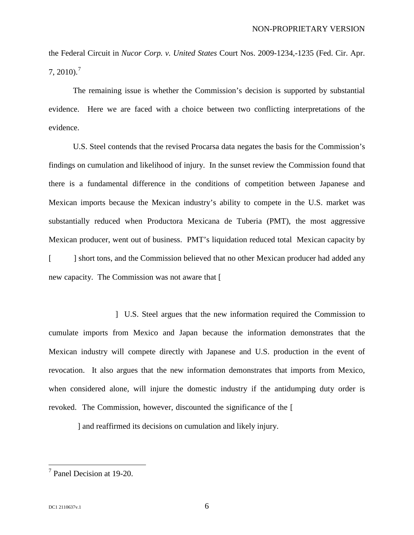the Federal Circuit in *Nucor Corp. v. United States* Court Nos. 2009-1234,-1235 (Fed. Cir. Apr.  $7, 2010$  $7, 2010$ .<sup>7</sup>

The remaining issue is whether the Commission's decision is supported by substantial evidence. Here we are faced with a choice between two conflicting interpretations of the evidence.

U.S. Steel contends that the revised Procarsa data negates the basis for the Commission's findings on cumulation and likelihood of injury. In the sunset review the Commission found that there is a fundamental difference in the conditions of competition between Japanese and Mexican imports because the Mexican industry's ability to compete in the U.S. market was substantially reduced when Productora Mexicana de Tuberia (PMT), the most aggressive Mexican producer, went out of business. PMT's liquidation reduced total Mexican capacity by [Termular life short tons, and the Commission believed that no other Mexican producer had added any new capacity. The Commission was not aware that  $\lceil$ 

I U.S. Steel argues that the new information required the Commission to cumulate imports from Mexico and Japan because the information demonstrates that the Mexican industry will compete directly with Japanese and U.S. production in the event of revocation. It also argues that the new information demonstrates that imports from Mexico, when considered alone, will injure the domestic industry if the antidumping duty order is revoked. The Commission, however, discounted the significance of the  $\lceil$ 

I and reaffirmed its decisions on cumulation and likely injury.

<span id="page-5-0"></span> <sup>7</sup> Panel Decision at 19-20.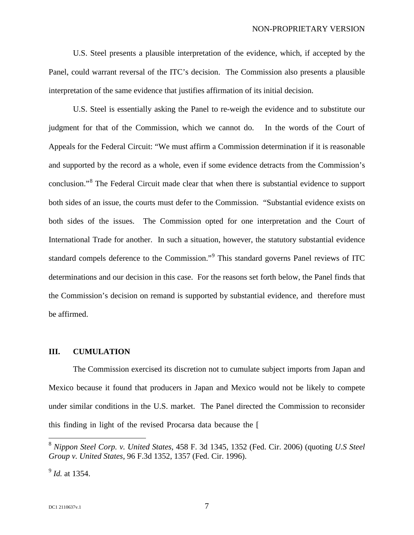U.S. Steel presents a plausible interpretation of the evidence, which, if accepted by the Panel, could warrant reversal of the ITC's decision. The Commission also presents a plausible interpretation of the same evidence that justifies affirmation of its initial decision.

U.S. Steel is essentially asking the Panel to re-weigh the evidence and to substitute our judgment for that of the Commission, which we cannot do. In the words of the Court of Appeals for the Federal Circuit: "We must affirm a Commission determination if it is reasonable and supported by the record as a whole, even if some evidence detracts from the Commission's conclusion."[8](#page-6-1) The Federal Circuit made clear that when there is substantial evidence to support both sides of an issue, the courts must defer to the Commission. "Substantial evidence exists on both sides of the issues. The Commission opted for one interpretation and the Court of International Trade for another. In such a situation, however, the statutory substantial evidence standard compels deference to the Commission."[9](#page-6-2) This standard governs Panel reviews of ITC determinations and our decision in this case. For the reasons set forth below, the Panel finds that the Commission's decision on remand is supported by substantial evidence, and therefore must be affirmed.

#### <span id="page-6-0"></span>**III. CUMULATION**

The Commission exercised its discretion not to cumulate subject imports from Japan and Mexico because it found that producers in Japan and Mexico would not be likely to compete under similar conditions in the U.S. market. The Panel directed the Commission to reconsider this finding in light of the revised Procarsa data because the  $\lceil$ 

<span id="page-6-1"></span> <sup>8</sup> *Nippon Steel Corp. v. United States*, 458 F. 3d 1345, 1352 (Fed. Cir. 2006) (quoting *U.S Steel Group v. United States*, 96 F.3d 1352, 1357 (Fed. Cir. 1996).

<span id="page-6-2"></span><sup>9</sup> *Id.* at 1354.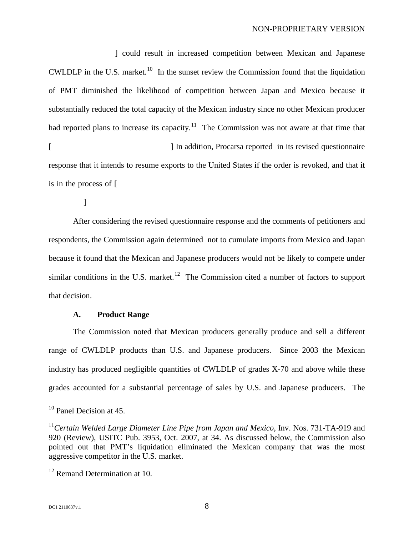production capacition capacition capacity could result in increased competition between Mexican and Japanese CWLDLP in the U.S. market.<sup>10</sup> In the sunset review the Commission found that the liquidation of PMT diminished the likelihood of competition between Japan and Mexico because it substantially reduced the total capacity of the Mexican industry since no other Mexican producer had reported plans to increase its capacity.<sup>[11](#page-7-2)</sup> The Commission was not aware at that time that [Procarsa reported in its revised questionnaire response that it intends to resume exports to the United States if the order is revoked, and that it is in the process of  $\lceil$ 

 $\mathbf{I}$ 

After considering the revised questionnaire response and the comments of petitioners and respondents, the Commission again determined not to cumulate imports from Mexico and Japan because it found that the Mexican and Japanese producers would not be likely to compete under similar conditions in the U.S. market.<sup>[12](#page-7-3)</sup> The Commission cited a number of factors to support that decision.

#### **A. Product Range**

<span id="page-7-0"></span>The Commission noted that Mexican producers generally produce and sell a different range of CWLDLP products than U.S. and Japanese producers. Since 2003 the Mexican industry has produced negligible quantities of CWLDLP of grades X-70 and above while these grades accounted for a substantial percentage of sales by U.S. and Japanese producers. The

<span id="page-7-1"></span><sup>&</sup>lt;sup>10</sup> Panel Decision at 45.

<span id="page-7-2"></span><sup>11</sup>*Certain Welded Large Diameter Line Pipe from Japan and Mexico*, Inv. Nos. 731-TA-919 and 920 (Review), USITC Pub. 3953, Oct. 2007, at 34. As discussed below, the Commission also pointed out that PMT's liquidation eliminated the Mexican company that was the most aggressive competitor in the U.S. market.

<span id="page-7-3"></span> $12$  Remand Determination at 10.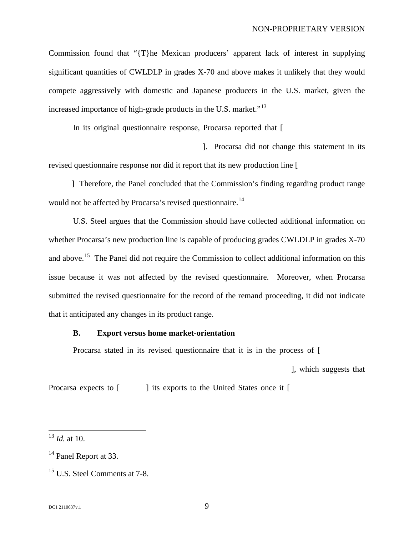Commission found that "{T}he Mexican producers' apparent lack of interest in supplying significant quantities of CWLDLP in grades X-70 and above makes it unlikely that they would compete aggressively with domestic and Japanese producers in the U.S. market, given the increased importance of high-grade products in the U.S. market."<sup>[13](#page-8-1)</sup>

In its original questionnaire response, Procarsa reported that  $\lceil$ 

1. Procarsa did not change this statement in its revised questionnaire response nor did it report that its new production line [

I Therefore, the Panel concluded that the Commission's finding regarding product range would not be affected by Procarsa's revised questionnaire.<sup>[14](#page-8-2)</sup>

U.S. Steel argues that the Commission should have collected additional information on whether Procarsa's new production line is capable of producing grades CWLDLP in grades X-70 and above.<sup>[15](#page-8-3)</sup> The Panel did not require the Commission to collect additional information on this issue because it was not affected by the revised questionnaire. Moreover, when Procarsa submitted the revised questionnaire for the record of the remand proceeding, it did not indicate that it anticipated any changes in its product range.

#### <span id="page-8-0"></span>**B. Export versus home market-orientation**

Procarsa stated in its revised questionnaire that it is in the process of [

l, which suggests that

Procarsa expects to  $\lceil \cdot \cdot \cdot \rceil$  its exports to the United States once it  $\lceil \cdot \cdot \rceil$ 

<span id="page-8-1"></span> <sup>13</sup> *Id.* at 10.

<span id="page-8-2"></span><sup>&</sup>lt;sup>14</sup> Panel Report at 33.

<span id="page-8-3"></span><sup>&</sup>lt;sup>15</sup> U.S. Steel Comments at 7-8.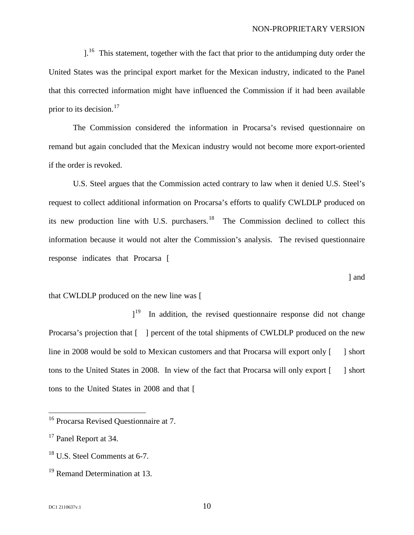$l^{16}$ . This statement, together with the fact that prior to the antidumping duty order the United States was the principal export market for the Mexican industry, indicated to the Panel that this corrected information might have influenced the Commission if it had been available prior to its decision. $17$ 

The Commission considered the information in Procarsa's revised questionnaire on remand but again concluded that the Mexican industry would not become more export-oriented if the order is revoked.

U.S. Steel argues that the Commission acted contrary to law when it denied U.S. Steel's request to collect additional information on Procarsa's efforts to qualify CWLDLP produced on its new production line with U.S. purchasers.<sup>[18](#page-9-2)</sup> The Commission declined to collect this information because it would not alter the Commission's analysis. The revised questionnaire response indicates that Procarsa [installed the new production line based solution line based solely on the new production line based solely on the new production line based solely on the new production line based solely o

 $\lceil$  and

#### that CWLDLP produced on the new line was [

before the end of  $2008.$  $1^{19}$  $1^{19}$  $1^{19}$  In addition, the revised questionnaire response did not change Procarsa's projection that  $\lceil \frac{7}{5} \rceil$  percent of the total shipments of CWLDLP produced on the new line in 2008 would be sold to Mexican customers and that Procarsa will export only [150] short tons to the United States in 2008. In view of the fact that Procarsa will only export  $\lceil \quad \rceil$  short tons to the United States in 2008 and that  $\lceil$ 

<span id="page-9-0"></span> <sup>16</sup> Procarsa Revised Questionnaire at 7.

<span id="page-9-1"></span><sup>&</sup>lt;sup>17</sup> Panel Report at 34.

<span id="page-9-2"></span><sup>&</sup>lt;sup>18</sup> U.S. Steel Comments at 6-7.

<span id="page-9-3"></span><sup>&</sup>lt;sup>19</sup> Remand Determination at 13.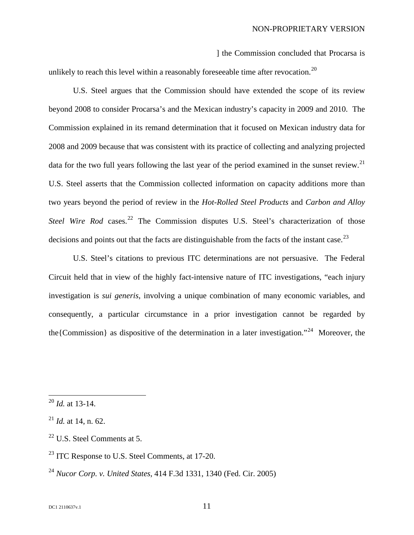1 the Commission concluded that Procarsa is

unlikely to reach this level within a reasonably fore seeable time after revocation.<sup>[20](#page-10-0)</sup>

U.S. Steel argues that the Commission should have extended the scope of its review beyond 2008 to consider Procarsa's and the Mexican industry's capacity in 2009 and 2010. The Commission explained in its remand determination that it focused on Mexican industry data for 2008 and 2009 because that was consistent with its practice of collecting and analyzing projected data for the two full years following the last year of the period examined in the sunset review.<sup>[21](#page-10-1)</sup> U.S. Steel asserts that the Commission collected information on capacity additions more than two years beyond the period of review in the *Hot-Rolled Steel Products* and *Carbon and Alloy*  Steel Wire Rod cases.<sup>[22](#page-10-2)</sup> The Commission disputes U.S. Steel's characterization of those decisions and points out that the facts are distinguishable from the facts of the instant case.<sup>[23](#page-10-3)</sup>

U.S. Steel's citations to previous ITC determinations are not persuasive. The Federal Circuit held that in view of the highly fact-intensive nature of ITC investigations, "each injury investigation is *sui generis*, involving a unique combination of many economic variables, and consequently, a particular circumstance in a prior investigation cannot be regarded by the {Commission} as dispositive of the determination in a later investigation."<sup>[24](#page-10-4)</sup> Moreover, the

<span id="page-10-0"></span> <sup>20</sup> *Id.* at 13-14.

<span id="page-10-1"></span><sup>21</sup> *Id.* at 14, n. 62.

<span id="page-10-2"></span> $22$  U.S. Steel Comments at 5.

<span id="page-10-3"></span> $^{23}$  ITC Response to U.S. Steel Comments, at 17-20.

<span id="page-10-4"></span><sup>24</sup> *Nucor Corp. v. United States,* 414 F.3d 1331, 1340 (Fed. Cir. 2005)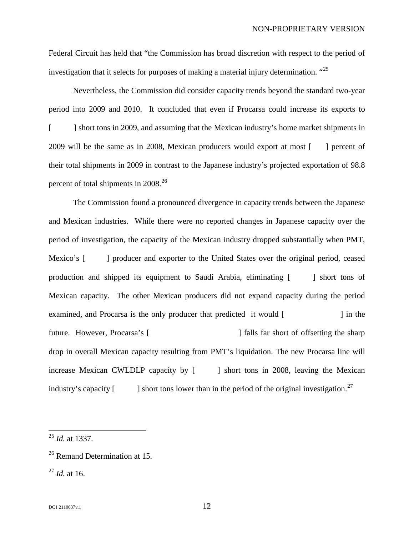Federal Circuit has held that "the Commission has broad discretion with respect to the period of investigation that it selects for purposes of making a material injury determination. "[25](#page-11-0)

Nevertheless, the Commission did consider capacity trends beyond the standard two-year period into 2009 and 2010. It concluded that even if Procarsa could increase its exports to [15,000] short tons in 2009, and assuming that the Mexican industry's home market shipments in 2009 will be the same as in 2008, Mexican producers would export at most  $\lceil \cdot \rceil$  percent of their total shipments in 2009 in contrast to the Japanese industry's projected exportation of 98.8 percent of total shipments in  $2008.<sup>26</sup>$  $2008.<sup>26</sup>$  $2008.<sup>26</sup>$ 

The Commission found a pronounced divergence in capacity trends between the Japanese and Mexican industries. While there were no reported changes in Japanese capacity over the period of investigation, the capacity of the Mexican industry dropped substantially when PMT, Mexico's [included 1] producer and exporter to the United States over the original period, ceased production and shipped its equipment to Saudi Arabia, eliminating [75,000] short tons of Mexican capacity. The other Mexican producers did not expand capacity during the period examined, and Procarsa is the only producer that predicted it would [increase capacity] in the future. However, Procarsa's [capacity increase] falls far short of offsetting the sharp drop in overall Mexican capacity resulting from PMT's liquidation. The new Procarsa line will increase Mexican CWLDLP capacity by [1000] short tons in 2008, leaving the Mexican industry's capacity  $\lceil \frac{3}{500}\rceil$  short tons lower than in the period of the original investigation.<sup>[27](#page-11-2)</sup>

<span id="page-11-0"></span> <sup>25</sup> *Id.* at 1337.

<span id="page-11-1"></span><sup>&</sup>lt;sup>26</sup> Remand Determination at 15.

<span id="page-11-2"></span><sup>27</sup> *Id.* at 16.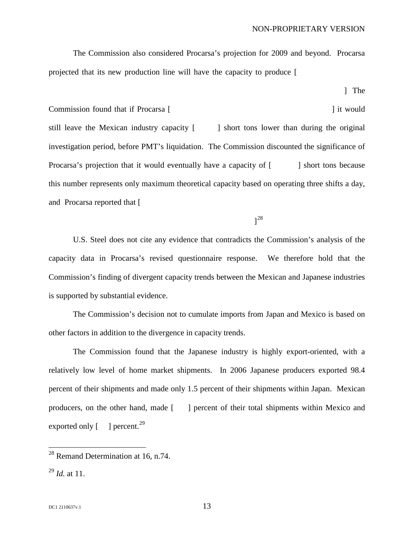NON-PROPRIETARY VERSION

The Commission also considered Procarsa's projection for 2009 and beyond. Procarsa projected that its new production line will have the capacity to produce  $\lceil$ 

"large diameter pipe in 2009, including both CWLDLP and nonsubject products] The

Commission found that if Procarsa [allocates 70 percent of its capacity to COMLDEP it would still leave the Mexican industry capacity [40,000] short tons lower than during the original investigation period, before PMT's liquidation. The Commission discounted the significance of Procarsa's projection that it would eventually have a capacity of  $\lceil \cdot \cdot \cdot \rceil$  short tons because this number represents only maximum theoretical capacity based on operating three shifts a day, and Procarsa reported that [it

as would be necessary to produce at the necessary to produce at the  $\mathcal I$ [28](#page-12-0)

U.S. Steel does not cite any evidence that contradicts the Commission's analysis of the capacity data in Procarsa's revised questionnaire response. We therefore hold that the Commission's finding of divergent capacity trends between the Mexican and Japanese industries is supported by substantial evidence.

The Commission's decision not to cumulate imports from Japan and Mexico is based on other factors in addition to the divergence in capacity trends.

The Commission found that the Japanese industry is highly export-oriented, with a relatively low level of home market shipments. In 2006 Japanese producers exported 98.4 percent of their shipments and made only 1.5 percent of their shipments within Japan. Mexican producers, on the other hand, made [97.7] percent of their total shipments within Mexico and exported only  $\lceil$  1 percent.<sup>[29](#page-12-1)</sup>

<span id="page-12-0"></span><sup>&</sup>lt;sup>28</sup> Remand Determination at 16, n.74.

<span id="page-12-1"></span><sup>29</sup> *Id.* at 11.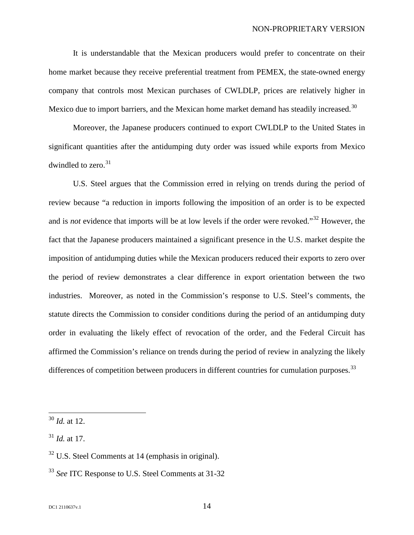It is understandable that the Mexican producers would prefer to concentrate on their home market because they receive preferential treatment from PEMEX, the state-owned energy company that controls most Mexican purchases of CWLDLP, prices are relatively higher in Mexico due to import barriers, and the Mexican home market demand has steadily increased.<sup>[30](#page-13-0)</sup>

Moreover, the Japanese producers continued to export CWLDLP to the United States in significant quantities after the antidumping duty order was issued while exports from Mexico dwindled to zero.<sup>[31](#page-13-1)</sup>

U.S. Steel argues that the Commission erred in relying on trends during the period of review because "a reduction in imports following the imposition of an order is to be expected and is *not* evidence that imports will be at low levels if the order were revoked." [32](#page-13-2) However, the fact that the Japanese producers maintained a significant presence in the U.S. market despite the imposition of antidumping duties while the Mexican producers reduced their exports to zero over the period of review demonstrates a clear difference in export orientation between the two industries. Moreover, as noted in the Commission's response to U.S. Steel's comments, the statute directs the Commission to consider conditions during the period of an antidumping duty order in evaluating the likely effect of revocation of the order, and the Federal Circuit has affirmed the Commission's reliance on trends during the period of review in analyzing the likely differences of competition between producers in different countries for cumulation purposes.  $33$ 

<span id="page-13-0"></span> <sup>30</sup> *Id.* at 12.

<span id="page-13-1"></span><sup>31</sup> *Id.* at 17.

<span id="page-13-2"></span> $32$  U.S. Steel Comments at 14 (emphasis in original).

<span id="page-13-3"></span><sup>33</sup> *See* ITC Response to U.S. Steel Comments at 31-32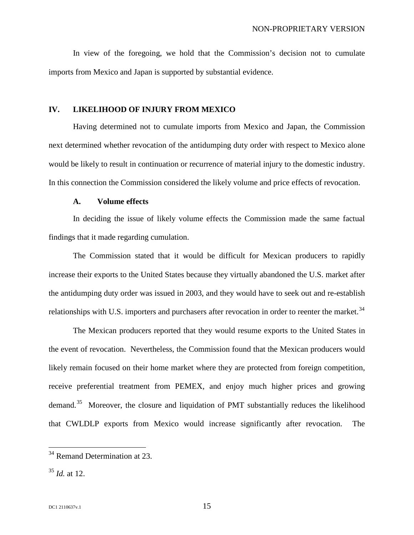In view of the foregoing, we hold that the Commission's decision not to cumulate imports from Mexico and Japan is supported by substantial evidence.

### <span id="page-14-0"></span>**IV. LIKELIHOOD OF INJURY FROM MEXICO**

Having determined not to cumulate imports from Mexico and Japan, the Commission next determined whether revocation of the antidumping duty order with respect to Mexico alone would be likely to result in continuation or recurrence of material injury to the domestic industry. In this connection the Commission considered the likely volume and price effects of revocation.

### **A. Volume effects**

<span id="page-14-1"></span>In deciding the issue of likely volume effects the Commission made the same factual findings that it made regarding cumulation.

The Commission stated that it would be difficult for Mexican producers to rapidly increase their exports to the United States because they virtually abandoned the U.S. market after the antidumping duty order was issued in 2003, and they would have to seek out and re-establish relationships with U.S. importers and purchasers after revocation in order to reenter the market.<sup>[34](#page-14-2)</sup>

The Mexican producers reported that they would resume exports to the United States in the event of revocation. Nevertheless, the Commission found that the Mexican producers would likely remain focused on their home market where they are protected from foreign competition, receive preferential treatment from PEMEX, and enjoy much higher prices and growing demand.<sup>[35](#page-14-3)</sup> Moreover, the closure and liquidation of PMT substantially reduces the likelihood that CWLDLP exports from Mexico would increase significantly after revocation. The

<span id="page-14-2"></span><sup>&</sup>lt;sup>34</sup> Remand Determination at 23.

<span id="page-14-3"></span><sup>35</sup> *Id.* at 12.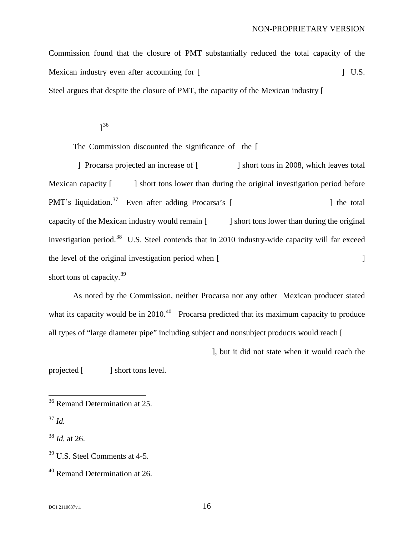Commission found that the closure of PMT substantially reduced the total capacity of the Mexican industry even after accounting for [Procarsa's projected in capacity.] U.S. Steel argues that despite the closure of PMT, the capacity of the Mexican industry [

production line.] [36](#page-15-0)

The Commission discounted the significance of the  $\lceil$ 

Procarsa projected an increase of [beinds in 2008, which leaves total Mexican capacity [64,500] short tons lower than during the original investigation period before PMT's liquidation. [37](#page-15-1) Even after adding Procarsa's [estimated capacity for 2009,] the total capacity of the Mexican industry would remain [40,000] short tons lower than during the original investigation period.<sup>[38](#page-15-2)</sup> U.S. Steel contends that in 2010 industry-wide capacity will far exceed the level of the original investigation period when [Procarsa completes the addition of 180,000  $\mu$ short tons of capacity.<sup>[39](#page-15-3)</sup>

As noted by the Commission, neither Procarsa nor any other Mexican producer stated what its capacity would be in  $2010<sup>40</sup>$  $2010<sup>40</sup>$  $2010<sup>40</sup>$  Procarsa predicted that its maximum capacity to produce all types of "large diameter pipe" including subject and nonsubject products would reach [15,000,000]

l, but it did not state when it would reach the

projected [180,000] short tons level.

<span id="page-15-2"></span><sup>38</sup> *Id.* at 26.

<span id="page-15-0"></span><sup>&</sup>lt;sup>36</sup> Remand Determination at 25.

<span id="page-15-1"></span> $^{37}$  *Id.* 

<span id="page-15-3"></span><sup>39</sup> U.S. Steel Comments at 4-5.

<span id="page-15-4"></span><sup>40</sup> Remand Determination at 26.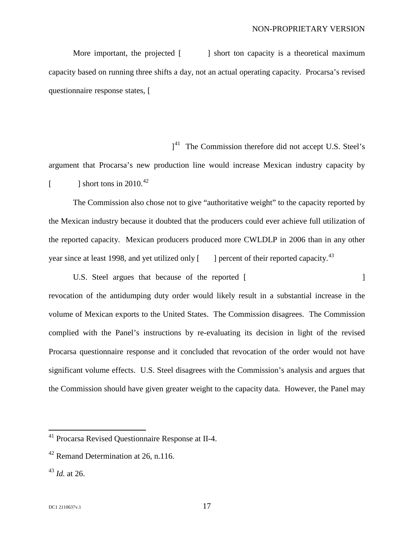More important, the projected  $\begin{bmatrix} 1 & 0 \\ 0 & 1 \end{bmatrix}$  short ton capacity is a theoretical maximum capacity based on running three shifts a day, not an actual operating capacity. Procarsa's revised questionnaire response states, [

for the number of shifts it does run.  $\mathbf{J}$  $1<sup>41</sup>$  The Commission therefore did not accept U.S. Steel's argument that Procarsa's new production line would increase Mexican industry capacity by  $\left[ \right]$  short tons in 2010.<sup>[42](#page-16-1)</sup>

The Commission also chose not to give "authoritative weight" to the capacity reported by the Mexican industry because it doubted that the producers could ever achieve full utilization of the reported capacity. Mexican producers produced more CWLDLP in 2006 than in any other year since at least 1998, and yet utilized only  $\lceil$ I percent of their reported capacity.<sup>[43](#page-16-2)</sup>

U.S. Steel argues that because of the reported [expansion in Processes 2011] revocation of the antidumping duty order would likely result in a substantial increase in the volume of Mexican exports to the United States. The Commission disagrees. The Commission complied with the Panel's instructions by re-evaluating its decision in light of the revised Procarsa questionnaire response and it concluded that revocation of the order would not have significant volume effects. U.S. Steel disagrees with the Commission's analysis and argues that the Commission should have given greater weight to the capacity data. However, the Panel may

<span id="page-16-0"></span> <sup>41</sup> Procarsa Revised Questionnaire Response at II-4.

<span id="page-16-1"></span><sup>42</sup> Remand Determination at 26, n.116.

<span id="page-16-2"></span><sup>43</sup> *Id.* at 26.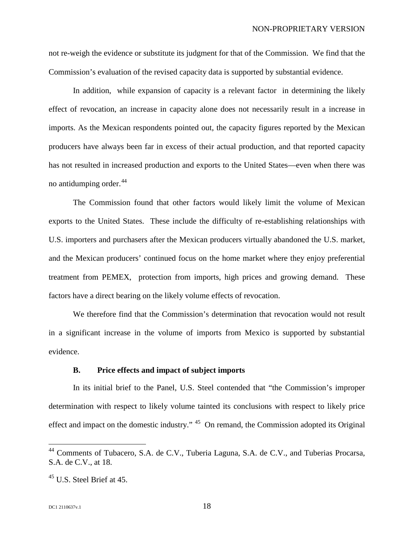not re-weigh the evidence or substitute its judgment for that of the Commission. We find that the Commission's evaluation of the revised capacity data is supported by substantial evidence.

In addition, while expansion of capacity is a relevant factor in determining the likely effect of revocation, an increase in capacity alone does not necessarily result in a increase in imports. As the Mexican respondents pointed out, the capacity figures reported by the Mexican producers have always been far in excess of their actual production, and that reported capacity has not resulted in increased production and exports to the United States—even when there was no antidumping order.<sup>[44](#page-17-1)</sup>

The Commission found that other factors would likely limit the volume of Mexican exports to the United States. These include the difficulty of re-establishing relationships with U.S. importers and purchasers after the Mexican producers virtually abandoned the U.S. market, and the Mexican producers' continued focus on the home market where they enjoy preferential treatment from PEMEX, protection from imports, high prices and growing demand. These factors have a direct bearing on the likely volume effects of revocation.

We therefore find that the Commission's determination that revocation would not result in a significant increase in the volume of imports from Mexico is supported by substantial evidence.

#### **B. Price effects and impact of subject imports**

<span id="page-17-0"></span>In its initial brief to the Panel, U.S. Steel contended that "the Commission's improper determination with respect to likely volume tainted its conclusions with respect to likely price effect and impact on the domestic industry."<sup>[45](#page-17-2)</sup> On remand, the Commission adopted its Original

<span id="page-17-1"></span><sup>&</sup>lt;sup>44</sup> Comments of Tubacero, S.A. de C.V., Tuberia Laguna, S.A. de C.V., and Tuberias Procarsa, S.A. de C.V., at 18.

<span id="page-17-2"></span> $45$  U.S. Steel Brief at 45.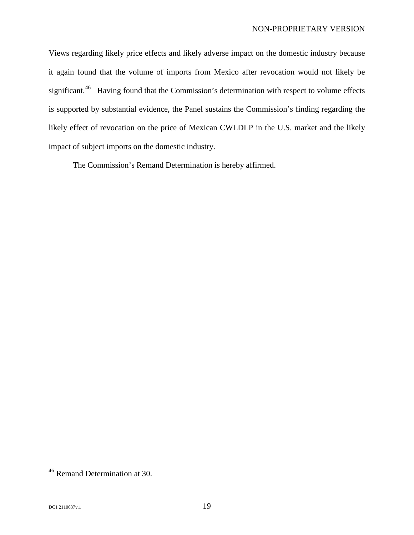Views regarding likely price effects and likely adverse impact on the domestic industry because it again found that the volume of imports from Mexico after revocation would not likely be significant.<sup>[46](#page-18-0)</sup> Having found that the Commission's determination with respect to volume effects is supported by substantial evidence, the Panel sustains the Commission's finding regarding the likely effect of revocation on the price of Mexican CWLDLP in the U.S. market and the likely impact of subject imports on the domestic industry.

The Commission's Remand Determination is hereby affirmed.

<span id="page-18-0"></span> <sup>46</sup> Remand Determination at 30.